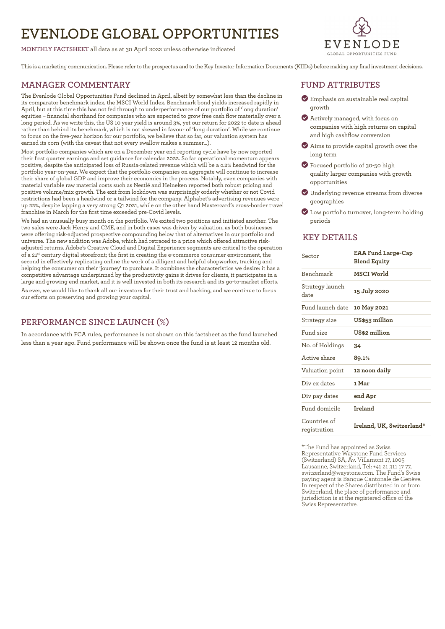# **EVENLODE GLOBAL OPPORTUNITIES**

**MONTHLY FACTSHEET** all data as at 30 April 2022 unless otherwise indicated



This is a marketing communication. Please refer to the prospectus and to the Key Investor Information Documents (KIIDs) before making any final investment decisions.

#### **MANAGER COMMENTARY**

The Evenlode Global Opportunities Fund declined in April, albeit by somewhat less than the decline in its comparator benchmark index, the MSCI World Index. Benchmark bond yields increased rapidly in April, but at this time this has not fed through to underperformance of our portfolio of 'long duration' equities – financial shorthand for companies who are expected to grow free cash flow materially over a long period. As we write this, the US 10 year yield is around 3%, yet our return for 2022 to date is ahead rather than behind its benchmark, which is not skewed in favour of 'long duration'. While we continue to focus on the five-year horizon for our portfolio, we believe that so far, our valuation system has earned its corn (with the caveat that not every swallow makes a summer…).

Most portfolio companies which are on a December year end reporting cycle have by now reported their first quarter earnings and set guidance for calendar 2022. So far operational momentum appears positive, despite the anticipated loss of Russia-related revenue which will be a c.2% headwind for the portfolio year-on-year. We expect that the portfolio companies on aggregate will continue to increase their share of global GDP and improve their economics in the process. Notably, even companies with material variable raw material costs such as Nestlé and Heineken reported both robust pricing and positive volume/mix growth. The exit from lockdown was surprisingly orderly whether or not Covid restrictions had been a headwind or a tailwind for the company. Alphabet's advertising revenues were up 22%, despite lapping a very strong Q1 2021, while on the other hand Mastercard's cross-border travel franchise in March for the first time exceeded pre-Covid levels.

We had an unusually busy month on the portfolio. We exited two positions and initiated another. The two sales were Jack Henry and CME, and in both cases was driven by valuation, as both businesses were offering risk-adjusted prospective compounding below that of alternatives in our portfolio and universe. The new addition was Adobe, which had retraced to a price which offered attractive riskadjusted returns. Adobe's Creative Cloud and Digital Experience segments are critical to the operation of a 21st century digital storefront; the first in creating the e-commerce consumer environment, the second in effectively replicating online the work of a diligent and helpful shopworker, tracking and helping the consumer on their 'journey' to purchase. It combines the characteristics we desire: it has a competitive advantage underpinned by the productivity gains it drives for clients, it participates in a large and growing end market, and it is well invested in both its research and its go-to-market efforts.

As ever, we would like to thank all our investors for their trust and backing, and we continue to focus our efforts on preserving and growing your capital.

## **PERFORMANCE SINCE LAUNCH (%)**

In accordance with FCA rules, performance is not shown on this factsheet as the fund launched less than a year ago. Fund performance will be shown once the fund is at least 12 months old.

### **FUND ATTRIBUTES**

- ? Emphasis on sustainable real capital growth
- ? Actively managed, with focus on companies with high returns on capital and high cashflow conversion
- ? Aims to provide capital growth over the long term
- ? Focused portfolio of 30-50 high quality larger companies with growth opportunities
- ? Underlying revenue streams from diverse geographies
- ? Low portfolio turnover, long-term holding periods

#### **KEY DETAILS**

| Sector                       | <b>EAA Fund Large-Cap</b><br><b>Blend Equity</b> |
|------------------------------|--------------------------------------------------|
| <b>Benchmark</b>             | MSCI World                                       |
| Strategy launch<br>date      | 15 July 2020                                     |
| Fund launch date             | 10 May 2021                                      |
| Strategy size                | US\$53 million                                   |
| Fund size                    | US\$2 million                                    |
| No. of Holdings              | 34                                               |
| Active share                 | 89.1%                                            |
| Valuation point              | 12 noon daily                                    |
| Div ex dates                 | 1 Mar                                            |
| Div pay dates                | end Apr                                          |
| Fund domicile                | Ireland                                          |
| Countries of<br>registration | Ireland, UK, Switzerland*                        |

\*The Fund has appointed as Swiss Representative Waystone Fund Services (Switzerland) SA, Av. Villamont 17, 1005 Lausanne, Switzerland, Tel: +41 21 311 17 77, switzerland@waystone.com. The Fund's Swiss paying agent is Banque Cantonale de Genève. In respect of the Shares distributed in or from Switzerland, the place of performance and jurisdiction is at the registered office of the Swiss Representative.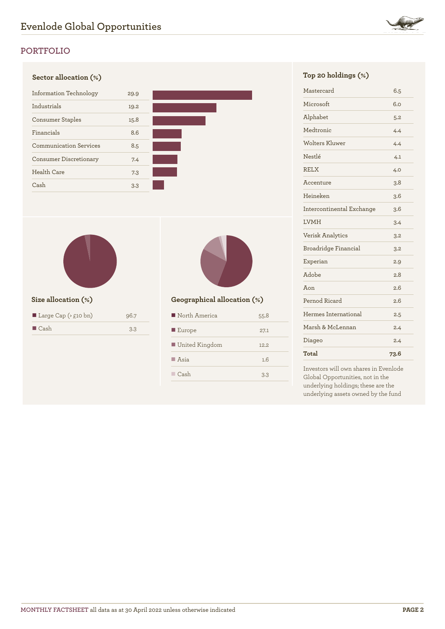

# **PORTFOLIO**





| Large Cap ( $> \text{\pounds}10 \text{ bn}$ ) | 96.7 |
|-----------------------------------------------|------|
| $\Box$ Cash                                   | 3.3  |



### **Size allocation (%) Geographical allocation (%)**

| North America         | 55.8  |
|-----------------------|-------|
| $\blacksquare$ Europe | 27.1  |
| ■ United Kingdom      | 12.2. |
| $\blacksquare$ Asia   | 1.6   |
| Cash                  | 3.3   |

| Mastercard                | 6.5  |
|---------------------------|------|
| Microsoft                 | 6.0  |
| Alphabet                  | 5.2  |
| Medtronic                 | 4.4  |
| Wolters Kluwer            | 4.4  |
| Nestlé                    | 4.1  |
| <b>RELX</b>               | 4.0  |
| Accenture                 | 3.8  |
| Heineken                  | 3.6  |
| Intercontinental Exchange | 3.6  |
| <b>LVMH</b>               | 3.4  |
| <b>Verisk Analytics</b>   | 3.2  |
| Broadridge Financial      | 3.2  |
| Experian                  | 2.9  |
| Adobe                     | 2.8  |
| Aon                       | 2.6  |
| Pernod Ricard             | 2.6  |
| Hermes International      | 2.5  |
| Marsh & McLennan          | 2.4  |
| Diageo                    | 2.4  |
| Total                     | 73.6 |

Investors will own shares in Evenlode Global Opportunities, not in the underlying holdings; these are the underlying assets owned by the fund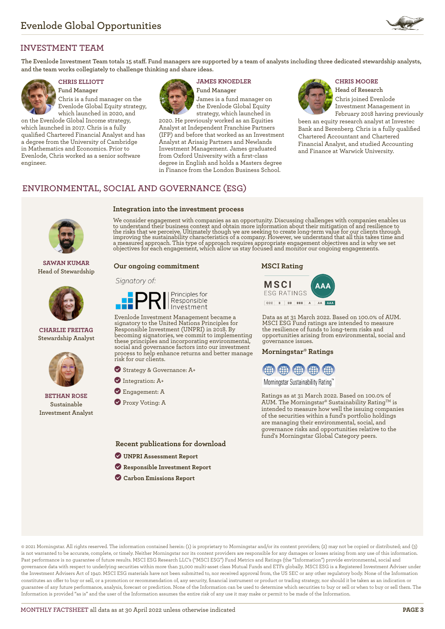

## **INVESTMENT TEAM**

**The Evenlode Investment Team totals 15 staff. Fund managers are supported by a team of analysts including three dedicated stewardship analysts, and the team works collegiately to challenge thinking and share ideas.**



# **Fund Manager**

Chris is a fund manager on the Evenlode Global Equity strategy, which launched in 2020, and

on the Evenlode Global Income strategy, which launched in 2017. Chris is a fully qualified Chartered Financial Analyst and has a degree from the University of Cambridge in Mathematics and Economics. Prior to Evenlode, Chris worked as a senior software engineer.



**Integration into the investment process**

# **CHRIS ELLIOTT JAMES KNOEDLER CHRIS MOORE**

**Fund Manager** James is a fund manager on the Evenlode Global Equity strategy, which launched in

2020. He previously worked as an Equities Analyst at Independent Franchise Partners (IFP) and before that worked as an Investment Analyst at Arisaig Partners and Newlands Investment Management. James graduated from Oxford University with a first-class degree in English and holds a Masters degree in Finance from the London Business School.

# **Head of Research**

Chris joined Evenlode Investment Management in February 2018 having previously

been an equity research analyst at Investec Bank and Berenberg. Chris is a fully qualified Chartered Accountant and Chartered Financial Analyst, and studied Accounting and Finance at Warwick University.

## **ENVIRONMENTAL, SOCIAL AND GOVERNANCE (ESG)**



**SAWAN KUMAR Head of Stewardship**



**CHARLIE FREITAG Stewardship Analyst**



**BETHAN ROSE Sustainable Investment Analyst**

We consider engagement with companies as an opportunity. Discussing challenges with companies enables us to understand their business context and obtain more information about their mitigation of and resilience to<br>the risks that we perceive. Ultimately though we are seeking to create long-term value for our clients through<br>im

#### **Our ongoing commitment**

#### Signatory of:



Evenlode Investment Management became a signatory to the United Nations Principles for Responsible Investment (UNPRI) in 2018. By becoming signatories, we commit to implementing these principles and incorporating environmental, social and governance factors into our investment process to help enhance returns and better manage risk for our clients.

? Strategy & Governance: A+

- ? Integration: A+
- **C** Engagement: A
- **Proxy Voting: A**

**Recent publications for download**

- ? **[UNPRI Assessment Report](https://evenlodeinvestment.com/resources/stewardship-assets/2020-Assessment-Report.pdf)**
- ? **[Responsible Investment Report](https://evenlodeinvestment.com/resources/stewardship-assets/Evenlode-Investment-Annual-Responsible-Investment-Report-2021.pdf)**
- ? **[Carbon Emissions Report](https://evenlodeinvestment.com/resources/stewardship-assets/Evenlode-Portfolio-Carbon-Emissions-Report-2021.pdf)**

#### **MSCI Rating**



Data as at 31 March 2022. Based on 100.0% of AUM. MSCI ESG Fund ratings are intended to measure the resilience of funds to long-term risks and opportunities arising from environmental, social and governance issues.

#### **Morningstar® Ratings**



Morningstar Sustainability Rating™

Ratings as at 31 March 2022. Based on 100.0% of AUM. The Morningstar® Sustainability Rating<sup>TM</sup> is intended to measure how well the issuing companies of the securities within a fund's portfolio holdings are managing their environmental, social, and governance risks and opportunities relative to the fund's Morningstar Global Category peers.

© 2021 Morningstar. All rights reserved. The information contained herein: (1) is proprietary to Morningstar and/or its content providers; (2) may not be copied or distributed; and (3) is not warranted to be accurate, complete, or timely. Neither Morningstar nor its content providers are responsible for any damages or losses arising from any use of this information. Past performance is no guarantee of future results. MSCI ESG Research LLC's ("MSCI ESG") Fund Metrics and Ratings (the "Information") provide environmental, social and governance data with respect to underlying securities within more than 31,000 multi-asset class Mutual Funds and ETFs globally. MSCI ESG is a Registered Investment Adviser under the Investment Advisers Act of 1940. MSCI ESG materials have not been submitted to, nor received approval from, the US SEC or any other regulatory body. None of the Information constitutes an offer to buy or sell, or a promotion or recommendation of, any security, financial instrument or product or trading strategy, nor should it be taken as an indication or guarantee of any future performance, analysis, forecast or prediction. None of the Information can be used to determine which securities to buy or sell or when to buy or sell them. The Information is provided "as is" and the user of the Information assumes the entire risk of any use it may make or permit to be made of the Information.